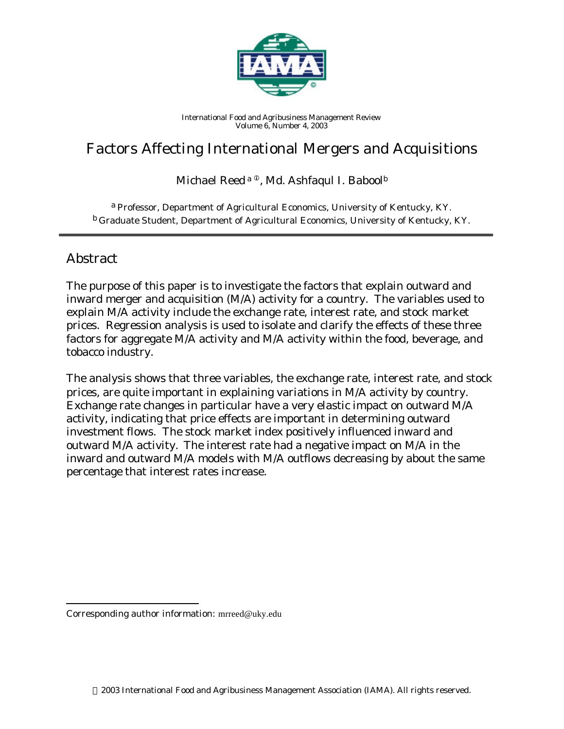

*International Food and Agribusiness Management Review Volume 6, Number 4, 2003*

# Factors Affecting International Mergers and Acquisitions

Michael Reed<sup>a ®</sup>, Md. Ashfaqul I. Babool<sup>b</sup>

a *Professor, Department of Agricultural Economics, University of Kentucky, KY.* b *Graduate Student, Department of Agricultural Economics, University of Kentucky, KY.*

## Abstract

l

The purpose of this paper is to investigate the factors that explain outward and inward merger and acquisition (M/A) activity for a country. The variables used to explain M/A activity include the exchange rate, interest rate, and stock market prices. Regression analysis is used to isolate and clarify the effects of these three factors for aggregate M/A activity and M/A activity within the food, beverage, and tobacco industry.

The analysis shows that three variables, the exchange rate, interest rate, and stock prices, are quite important in explaining variations in M/A activity by country. Exchange rate changes in particular have a very elastic impact on outward M/A activity, indicating that price effects are important in determining outward investment flows. The stock market index positively influenced inward and outward M/A activity. The interest rate had a negative impact on M/A in the inward and outward M/A models with M/A outflows decreasing by about the same percentage that interest rates increase.

Corresponding author information: mrreed@uky.edu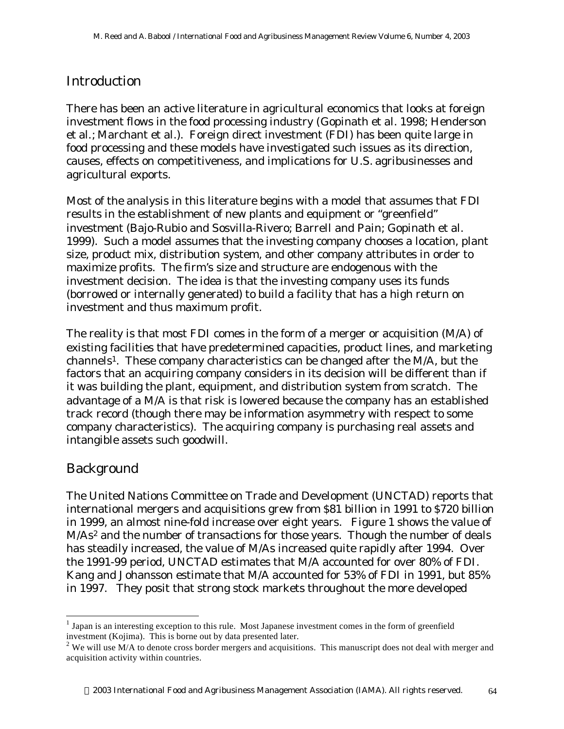# Introduction

There has been an active literature in agricultural economics that looks at foreign investment flows in the food processing industry (Gopinath et al. 1998; Henderson et al.; Marchant et al.). Foreign direct investment (FDI) has been quite large in food processing and these models have investigated such issues as its direction, causes, effects on competitiveness, and implications for U.S. agribusinesses and agricultural exports.

Most of the analysis in this literature begins with a model that assumes that FDI results in the establishment of new plants and equipment or "greenfield" investment (Bajo-Rubio and Sosvilla-Rivero; Barrell and Pain; Gopinath et al. 1999). Such a model assumes that the investing company chooses a location, plant size, product mix, distribution system, and other company attributes in order to maximize profits. The firm's size and structure are endogenous with the investment decision. The idea is that the investing company uses its funds (borrowed or internally generated) to build a facility that has a high return on investment and thus maximum profit.

The reality is that most FDI comes in the form of a merger or acquisition (M/A) of existing facilities that have predetermined capacities, product lines, and marketing channels1. These company characteristics can be changed after the M/A, but the factors that an acquiring company considers in its decision will be different than if it was building the plant, equipment, and distribution system from scratch. The advantage of a M/A is that risk is lowered because the company has an established track record (though there may be information asymmetry with respect to some company characteristics). The acquiring company is purchasing real assets and intangible assets such goodwill.

# Background

l

The United Nations Committee on Trade and Development (UNCTAD) reports that international mergers and acquisitions grew from \$81 billion in 1991 to \$720 billion in 1999, an almost nine-fold increase over eight years. Figure 1 shows the value of M/As<sup>2</sup> and the number of transactions for those years. Though the number of deals has steadily increased, the value of M/As increased quite rapidly after 1994. Over the 1991-99 period, UNCTAD estimates that M/A accounted for over 80% of FDI. Kang and Johansson estimate that M/A accounted for 53% of FDI in 1991, but 85% in 1997. They posit that strong stock markets throughout the more developed

 $<sup>1</sup>$  Japan is an interesting exception to this rule. Most Japanese investment comes in the form of greenfield</sup> investment (Kojima). This is borne out by data presented later.

<sup>&</sup>lt;sup>2</sup> We will use  $M/A$  to denote cross border mergers and acquisitions. This manuscript does not deal with merger and acquisition activity within countries.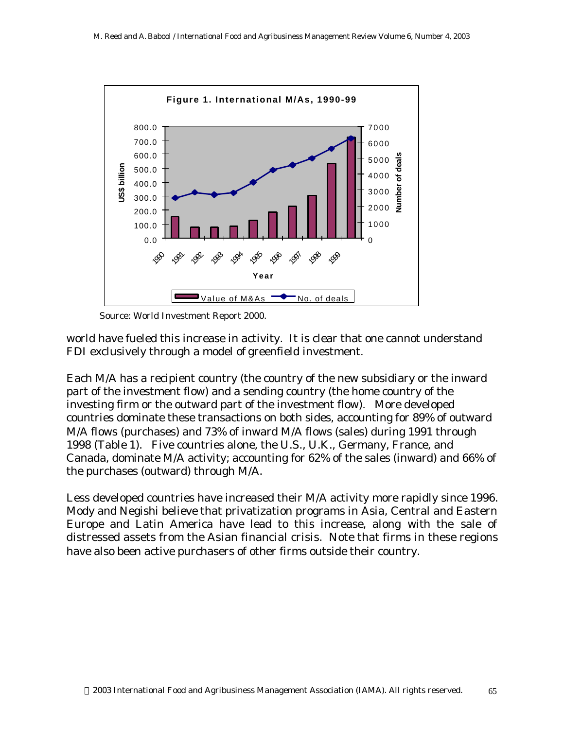

*Source: World Investment Report 2000.*

world have fueled this increase in activity. It is clear that one cannot understand FDI exclusively through a model of greenfield investment.

Each M/A has a recipient country (the country of the new subsidiary or the inward part of the investment flow) and a sending country (the home country of the investing firm or the outward part of the investment flow). More developed countries dominate these transactions on both sides, accounting for 89% of outward M/A flows (purchases) and 73% of inward M/A flows (sales) during 1991 through 1998 (Table 1). Five countries alone, the U.S., U.K., Germany, France, and Canada, dominate M/A activity; accounting for 62% of the sales (inward) and 66% of the purchases (outward) through M/A.

Less developed countries have increased their M/A activity more rapidly since 1996. Mody and Negishi believe that privatization programs in Asia, Central and Eastern Europe and Latin America have lead to this increase, along with the sale of distressed assets from the Asian financial crisis. Note that firms in these regions have also been active purchasers of other firms outside their country.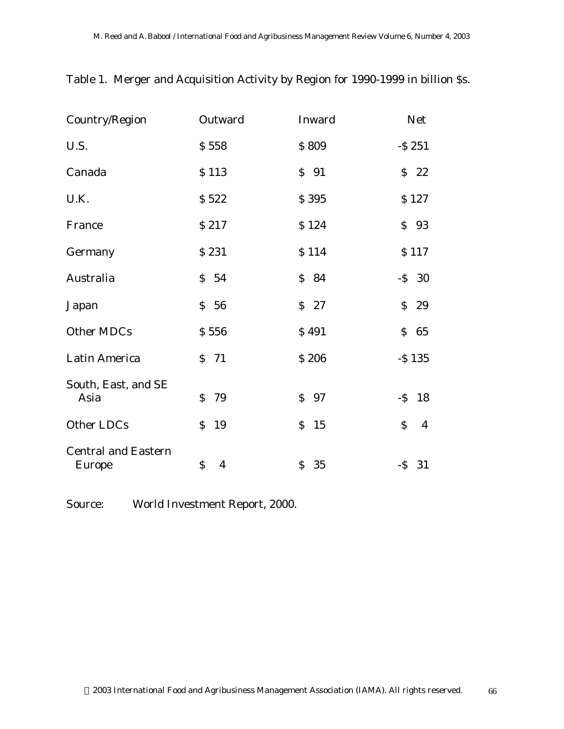| Country/Region                              | Outward                        | Inward             | <b>Net</b>                     |
|---------------------------------------------|--------------------------------|--------------------|--------------------------------|
| U.S.                                        | \$558                          | \$809              | $-$ S 251                      |
| Canada                                      | \$113                          | $S$ 91             | $S$ 22                         |
| U.K.                                        | \$522                          | \$395              | \$127                          |
| France                                      | \$217                          | \$124              | \$93                           |
| Germany                                     | \$231                          | \$114              | \$117                          |
| Australia                                   | \$54                           | \$84               | $-S$ 30                        |
| Japan                                       | \$56                           | $S$ 27             | \$<br>29                       |
| Other MDCs                                  | \$556                          | \$491              | \$<br>65                       |
| Latin America                               | $S$ 71                         | \$206              | $-$ S 135                      |
| South, East, and SE<br>Asia                 | \$<br>79                       | \$97               | $-S$ 18                        |
| Other LDCs                                  | \$<br>19                       | $\mathsf{S}$<br>15 | $\mathsf{S}$<br>$\overline{4}$ |
| <b>Central and Eastern</b><br><b>Europe</b> | $\mathsf{S}$<br>$\overline{4}$ | \$35               | $-S$ 31                        |

Table 1. Merger and Acquisition Activity by Region for 1990-1999 in billion \$s.

Source: World Investment Report, 2000.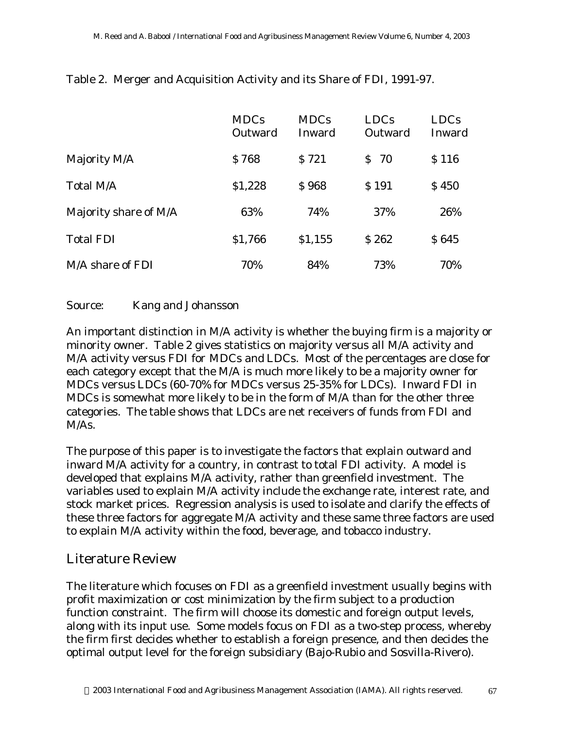|                       | <b>MDCs</b><br>Outward | <b>MDCs</b><br>Inward | <b>LDCs</b><br>Outward | <b>LDCs</b><br>Inward |
|-----------------------|------------------------|-----------------------|------------------------|-----------------------|
| Majority M/A          | \$768                  | S 721                 | -70<br>S.              | \$116                 |
| Total M/A             | \$1,228                | <b>\$968</b>          | \$191                  | \$450                 |
| Majority share of M/A | 63%                    | 74%                   | 37%                    | 26%                   |
| <b>Total FDI</b>      | \$1,766                | \$1,155               | \$262                  | \$645                 |
| M/A share of FDI      | 70%                    | 84%                   | 73%                    | 70%                   |

Table 2. Merger and Acquisition Activity and its Share of FDI, 1991-97.

#### Source: Kang and Johansson

An important distinction in M/A activity is whether the buying firm is a majority or minority owner. Table 2 gives statistics on majority versus all M/A activity and M/A activity versus FDI for MDCs and LDCs. Most of the percentages are close for each category except that the M/A is much more likely to be a majority owner for MDCs versus LDCs (60-70% for MDCs versus 25-35% for LDCs). Inward FDI in MDCs is somewhat more likely to be in the form of M/A than for the other three categories. The table shows that LDCs are net receivers of funds from FDI and M/As.

The purpose of this paper is to investigate the factors that explain outward and inward M/A activity for a country, in contrast to total FDI activity. A model is developed that explains M/A activity, rather than greenfield investment. The variables used to explain M/A activity include the exchange rate, interest rate, and stock market prices. Regression analysis is used to isolate and clarify the effects of these three factors for aggregate M/A activity and these same three factors are used to explain M/A activity within the food, beverage, and tobacco industry.

#### Literature Review

The literature which focuses on FDI as a greenfield investment usually begins with profit maximization or cost minimization by the firm subject to a production function constraint. The firm will choose its domestic and foreign output levels, along with its input use. Some models focus on FDI as a two-step process, whereby the firm first decides whether to establish a foreign presence, and then decides the optimal output level for the foreign subsidiary (Bajo-Rubio and Sosvilla-Rivero).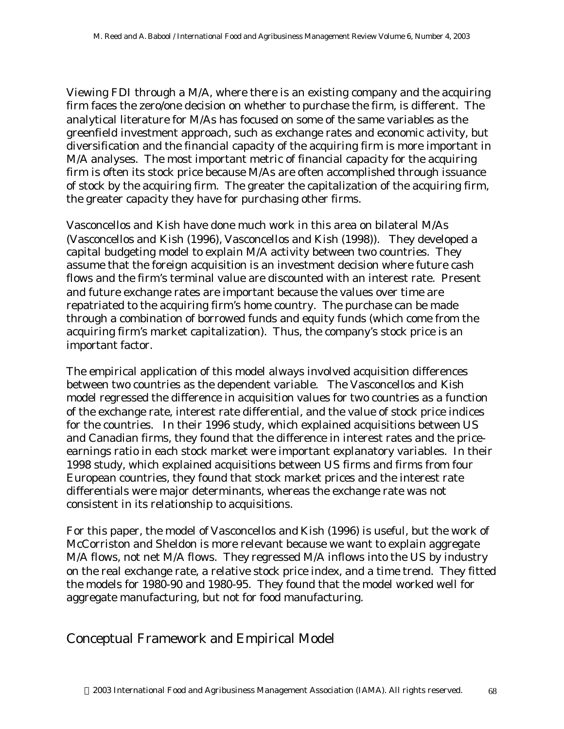Viewing FDI through a M/A, where there is an existing company and the acquiring firm faces the zero/one decision on whether to purchase the firm, is different. The analytical literature for M/As has focused on some of the same variables as the greenfield investment approach, such as exchange rates and economic activity, but diversification and the financial capacity of the acquiring firm is more important in M/A analyses. The most important metric of financial capacity for the acquiring firm is often its stock price because M/As are often accomplished through issuance of stock by the acquiring firm. The greater the capitalization of the acquiring firm, the greater capacity they have for purchasing other firms.

Vasconcellos and Kish have done much work in this area on bilateral M/As (Vasconcellos and Kish (1996), Vasconcellos and Kish (1998)). They developed a capital budgeting model to explain M/A activity between two countries. They assume that the foreign acquisition is an investment decision where future cash flows and the firm's terminal value are discounted with an interest rate. Present and future exchange rates are important because the values over time are repatriated to the acquiring firm's home country. The purchase can be made through a combination of borrowed funds and equity funds (which come from the acquiring firm's market capitalization). Thus, the company's stock price is an important factor.

The empirical application of this model always involved acquisition differences between two countries as the dependent variable. The Vasconcellos and Kish model regressed the difference in acquisition values for two countries as a function of the exchange rate, interest rate differential, and the value of stock price indices for the countries. In their 1996 study, which explained acquisitions between US and Canadian firms, they found that the difference in interest rates and the priceearnings ratio in each stock market were important explanatory variables. In their 1998 study, which explained acquisitions between US firms and firms from four European countries, they found that stock market prices and the interest rate differentials were major determinants, whereas the exchange rate was not consistent in its relationship to acquisitions.

For this paper, the model of Vasconcellos and Kish (1996) is useful, but the work of McCorriston and Sheldon is more relevant because we want to explain aggregate M/A flows, not net M/A flows. They regressed M/A inflows into the US by industry on the real exchange rate, a relative stock price index, and a time trend. They fitted the models for 1980-90 and 1980-95. They found that the model worked well for aggregate manufacturing, but not for food manufacturing.

### Conceptual Framework and Empirical Model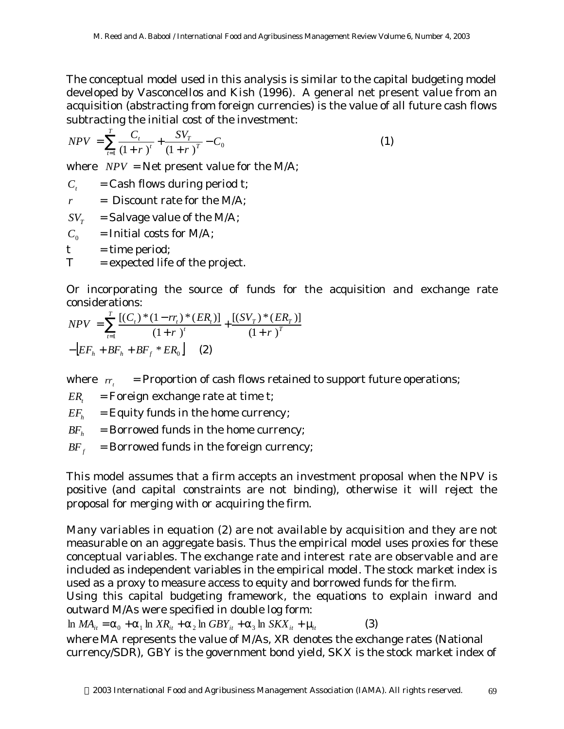The conceptual model used in this analysis is similar to the capital budgeting model developed by Vasconcellos and Kish (1996). A general net present value from an acquisition (abstracting from foreign currencies) is the value of all future cash flows subtracting the initial cost of the investment:

$$
NPV = \sum_{t=1}^{T} \frac{C_t}{(1+r)^t} + \frac{SV_T}{(1+r)^T} - C_0
$$
 (1)

where  $NPV = Net$  present value for the M/A;

 $C<sub>i</sub>$  = Cash flows during period t;

 $r =$  Discount rate for the M/A;

 $SV_r$  = Salvage value of the M/A;

 $C_0$  = Initial costs for M/A;

 $t =$  time period;

 $T =$  expected life of the project.

Or incorporating the source of funds for the acquisition and exchange rate considerations:

$$
NPV = \sum_{t=1}^{T} \frac{[(C_t)^*(1 - rr_t)^*(ER_t)]}{(1 + r)^t} + \frac{[(SV_T)^*(ER_T)]}{(1 + r)^T}
$$

$$
-[EF_h + BF_h + BF_f * ER_0] \qquad (2)
$$

where  $r_{t}$  = Proportion of cash flows retained to support future operations;

 $ER_t = \text{Foreign exchange rate at time t};$ 

 $EF_h$  = Equity funds in the home currency;

 $BF<sub>h</sub>$  = Borrowed funds in the home currency;

 $BF<sub>f</sub>$  = Borrowed funds in the foreign currency;

This model assumes that a firm accepts an investment proposal when the NPV is positive (and capital constraints are not binding), otherwise it will reject the proposal for merging with or acquiring the firm.

Many variables in equation (2) are not available by acquisition and they are not measurable on an aggregate basis. Thus the empirical model uses proxies for these conceptual variables. The exchange rate and interest rate are observable and are included as independent variables in the empirical model. The stock market index is used as a proxy to measure access to equity and borrowed funds for the firm.

Using this capital budgeting framework, the equations to explain inward and outward M/As were specified in double log form:

 $\ln MA_{it} = a_0 + a_1 \ln X R_{it} + a_2 \ln GBY_{it} + a_3 \ln SKX_{it} + m_t$  (3)

where *MA* represents the value of M/As, *XR* denotes the exchange rates (National currency/SDR), *GBY* is the government bond yield, *SKX* is the stock market index of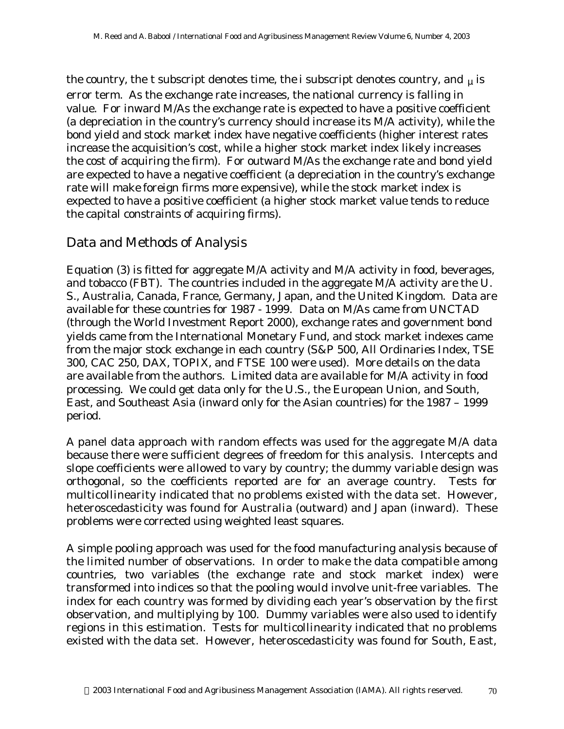the country, the *t* subscript denotes time, the *i* subscript denotes country, and *m* is error term. As the exchange rate increases, the national currency is falling in value. For inward M/As the exchange rate is expected to have a positive coefficient (a depreciation in the country's currency should increase its M/A activity), while the bond yield and stock market index have negative coefficients (higher interest rates increase the acquisition's cost, while a higher stock market index likely increases the cost of acquiring the firm). For outward M/As the exchange rate and bond yield are expected to have a negative coefficient (a depreciation in the country's exchange rate will make foreign firms more expensive), while the stock market index is expected to have a positive coefficient (a higher stock market value tends to reduce the capital constraints of acquiring firms).

### Data and Methods of Analysis

Equation (3) is fitted for aggregate M/A activity and M/A activity in food, beverages, and tobacco (FBT). The countries included in the aggregate M/A activity are the U. S., Australia, Canada, France, Germany, Japan, and the United Kingdom. Data are available for these countries for 1987 - 1999. Data on M/As came from UNCTAD (through the World Investment Report 2000), exchange rates and government bond yields came from the International Monetary Fund, and stock market indexes came from the major stock exchange in each country (S&P 500, All Ordinaries Index, TSE 300, CAC 250, DAX, TOPIX, and FTSE 100 were used). More details on the data are available from the authors. Limited data are available for M/A activity in food processing. We could get data only for the U.S., the European Union, and South, East, and Southeast Asia (inward only for the Asian countries) for the 1987 – 1999 period.

A panel data approach with random effects was used for the aggregate M/A data because there were sufficient degrees of freedom for this analysis. Intercepts and slope coefficients were allowed to vary by country; the dummy variable design was orthogonal, so the coefficients reported are for an average country. Tests for multicollinearity indicated that no problems existed with the data set. However, heteroscedasticity was found for Australia (outward) and Japan (inward). These problems were corrected using weighted least squares.

A simple pooling approach was used for the food manufacturing analysis because of the limited number of observations. In order to make the data compatible among countries, two variables (the exchange rate and stock market index) were transformed into indices so that the pooling would involve unit-free variables. The index for each country was formed by dividing each year's observation by the first observation, and multiplying by 100. Dummy variables were also used to identify regions in this estimation. Tests for multicollinearity indicated that no problems existed with the data set. However, heteroscedasticity was found for South, East,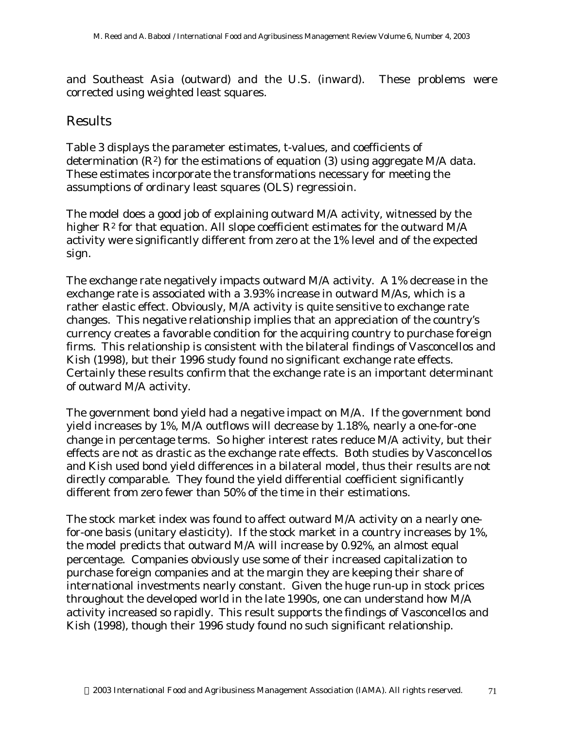and Southeast Asia (outward) and the U.S. (inward). These problems were corrected using weighted least squares.

#### Results

Table 3 displays the parameter estimates, t-values, and coefficients of determination  $(R^2)$  for the estimations of equation (3) using aggregate M/A data. These estimates incorporate the transformations necessary for meeting the assumptions of ordinary least squares (OLS) regressioin.

The model does a good job of explaining outward M/A activity, witnessed by the higher  $R^2$  for that equation. All slope coefficient estimates for the outward  $M/A$ activity were significantly different from zero at the 1% level and of the expected sign.

The exchange rate negatively impacts outward M/A activity. A 1% decrease in the exchange rate is associated with a 3.93% increase in outward M/As, which is a rather elastic effect. Obviously, M/A activity is quite sensitive to exchange rate changes. This negative relationship implies that an appreciation of the country's currency creates a favorable condition for the acquiring country to purchase foreign firms. This relationship is consistent with the bilateral findings of Vasconcellos and Kish (1998), but their 1996 study found no significant exchange rate effects. Certainly these results confirm that the exchange rate is an important determinant of outward M/A activity.

The government bond yield had a negative impact on M/A. If the government bond yield increases by 1%, M/A outflows will decrease by 1.18%, nearly a one-for-one change in percentage terms. So higher interest rates reduce M/A activity, but their effects are not as drastic as the exchange rate effects. Both studies by Vasconcellos and Kish used bond yield differences in a bilateral model, thus their results are not directly comparable. They found the yield differential coefficient significantly different from zero fewer than 50% of the time in their estimations.

The stock market index was found to affect outward M/A activity on a nearly onefor-one basis (unitary elasticity). If the stock market in a country increases by 1%, the model predicts that outward M/A will increase by 0.92%, an almost equal percentage. Companies obviously use some of their increased capitalization to purchase foreign companies and at the margin they are keeping their share of international investments nearly constant. Given the huge run-up in stock prices throughout the developed world in the late 1990s, one can understand how M/A activity increased so rapidly. This result supports the findings of Vasconcellos and Kish (1998), though their 1996 study found no such significant relationship.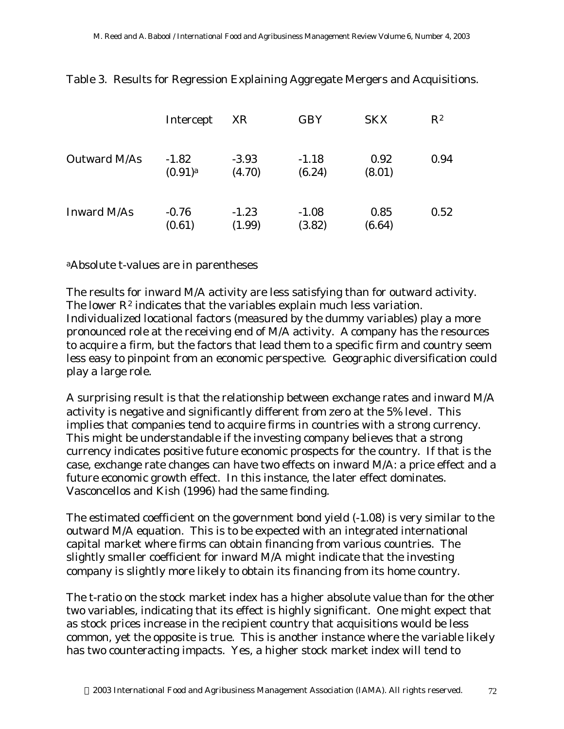|              | Intercept                        | XR                | <b>GBY</b>        | <b>SKX</b>     | $R^2$ |
|--------------|----------------------------------|-------------------|-------------------|----------------|-------|
| Outward M/As | $-1.82$<br>$(0.91)$ <sup>a</sup> | $-3.93$<br>(4.70) | $-1.18$<br>(6.24) | 0.92<br>(8.01) | 0.94  |
| Inward M/As  | $-0.76$<br>(0.61)                | $-1.23$<br>(1.99) | $-1.08$<br>(3.82) | 0.85<br>(6.64) | 0.52  |

Table 3. Results for Regression Explaining Aggregate Mergers and Acquisitions.

<sup>a</sup>Absolute t-values are in parentheses

The results for inward M/A activity are less satisfying than for outward activity. The lower  $R^2$  indicates that the variables explain much less variation. Individualized locational factors (measured by the dummy variables) play a more pronounced role at the receiving end of M/A activity. A company has the resources to acquire a firm, but the factors that lead them to a specific firm and country seem less easy to pinpoint from an economic perspective. Geographic diversification could play a large role.

A surprising result is that the relationship between exchange rates and inward M/A activity is negative and significantly different from zero at the 5% level. This implies that companies tend to acquire firms in countries with a strong currency. This might be understandable if the investing company believes that a strong currency indicates positive future economic prospects for the country. If that is the case, exchange rate changes can have two effects on inward M/A: a price effect and a future economic growth effect. In this instance, the later effect dominates. Vasconcellos and Kish (1996) had the same finding.

The estimated coefficient on the government bond yield (-1.08) is very similar to the outward M/A equation. This is to be expected with an integrated international capital market where firms can obtain financing from various countries. The slightly smaller coefficient for inward M/A might indicate that the investing company is slightly more likely to obtain its financing from its home country.

The t-ratio on the stock market index has a higher absolute value than for the other two variables, indicating that its effect is highly significant. One might expect that as stock prices increase in the recipient country that acquisitions would be less common, yet the opposite is true. This is another instance where the variable likely has two counteracting impacts. Yes, a higher stock market index will tend to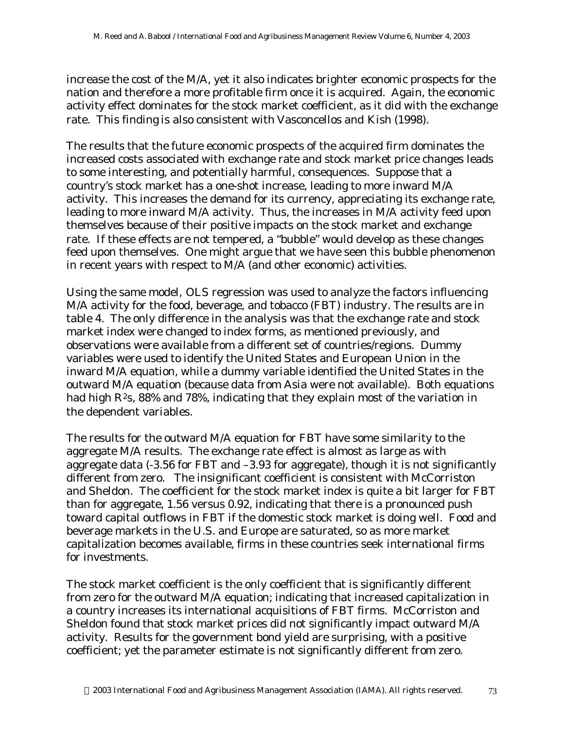increase the cost of the M/A, yet it also indicates brighter economic prospects for the nation and therefore a more profitable firm once it is acquired. Again, the economic activity effect dominates for the stock market coefficient, as it did with the exchange rate. This finding is also consistent with Vasconcellos and Kish (1998).

The results that the future economic prospects of the acquired firm dominates the increased costs associated with exchange rate and stock market price changes leads to some interesting, and potentially harmful, consequences. Suppose that a country's stock market has a one-shot increase, leading to more inward M/A activity. This increases the demand for its currency, appreciating its exchange rate, leading to more inward M/A activity. Thus, the increases in M/A activity feed upon themselves because of their positive impacts on the stock market and exchange rate. If these effects are not tempered, a "bubble" would develop as these changes feed upon themselves. One might argue that we have seen this bubble phenomenon in recent years with respect to M/A (and other economic) activities.

Using the same model, OLS regression was used to analyze the factors influencing M/A activity for the food, beverage, and tobacco (FBT) industry. The results are in table 4. The only difference in the analysis was that the exchange rate and stock market index were changed to index forms, as mentioned previously, and observations were available from a different set of countries/regions. Dummy variables were used to identify the United States and European Union in the inward M/A equation, while a dummy variable identified the United States in the outward M/A equation (because data from Asia were not available). Both equations had high  $R^2$ s, 88% and 78%, indicating that they explain most of the variation in the dependent variables.

The results for the outward M/A equation for FBT have some similarity to the aggregate M/A results. The exchange rate effect is almost as large as with aggregate data (-3.56 for FBT and –3.93 for aggregate), though it is not significantly different from zero. The insignificant coefficient is consistent with McCorriston and Sheldon. The coefficient for the stock market index is quite a bit larger for FBT than for aggregate, 1.56 versus 0.92, indicating that there is a pronounced push toward capital outflows in FBT if the domestic stock market is doing well. Food and beverage markets in the U.S. and Europe are saturated, so as more market capitalization becomes available, firms in these countries seek international firms for investments.

The stock market coefficient is the only coefficient that is significantly different from zero for the outward M/A equation; indicating that increased capitalization in a country increases its international acquisitions of FBT firms. McCorriston and Sheldon found that stock market prices did not significantly impact outward M/A activity. Results for the government bond yield are surprising, with a positive coefficient; yet the parameter estimate is not significantly different from zero.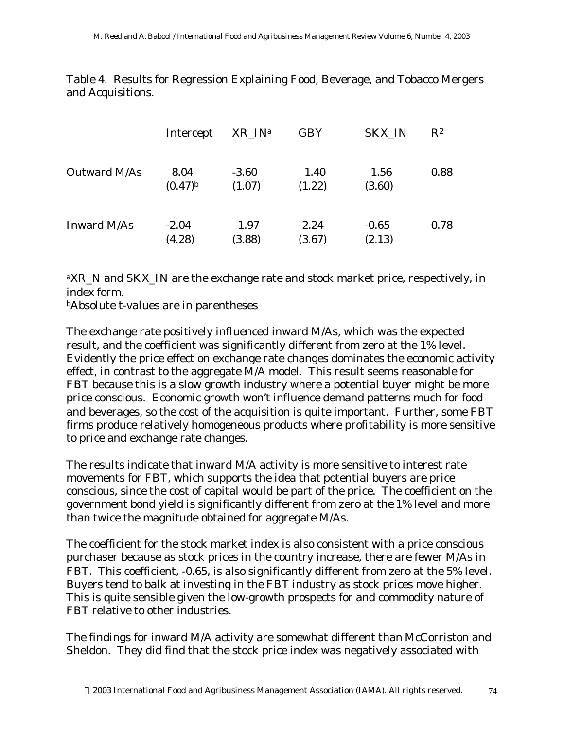Table 4. Results for Regression Explaining Food, Beverage, and Tobacco Mergers and Acquisitions.

|              | Intercept            | XR IN <sup>a</sup> | <b>GBY</b>        | SKX_IN            | $R^2$ |
|--------------|----------------------|--------------------|-------------------|-------------------|-------|
| Outward M/As | 8.04<br>$(0.47)^{b}$ | $-3.60$<br>(1.07)  | 1.40<br>(1.22)    | 1.56<br>(3.60)    | 0.88  |
| Inward M/As  | $-2.04$<br>(4.28)    | 1.97<br>(3.88)     | $-2.24$<br>(3.67) | $-0.65$<br>(2.13) | 0.78  |

<sup>a</sup>XR N and SKX IN are the exchange rate and stock market price, respectively, in index form.

<sup>b</sup>Absolute t-values are in parentheses

The exchange rate positively influenced inward M/As, which was the expected result, and the coefficient was significantly different from zero at the 1% level. Evidently the price effect on exchange rate changes dominates the economic activity effect, in contrast to the aggregate M/A model. This result seems reasonable for FBT because this is a slow growth industry where a potential buyer might be more price conscious. Economic growth won't influence demand patterns much for food and beverages, so the cost of the acquisition is quite important. Further, some FBT firms produce relatively homogeneous products where profitability is more sensitive to price and exchange rate changes.

The results indicate that inward M/A activity is more sensitive to interest rate movements for FBT, which supports the idea that potential buyers are price conscious, since the cost of capital would be part of the price. The coefficient on the government bond yield is significantly different from zero at the 1% level and more than twice the magnitude obtained for aggregate M/As.

The coefficient for the stock market index is also consistent with a price conscious purchaser because as stock prices in the country increase, there are fewer M/As in FBT. This coefficient, -0.65, is also significantly different from zero at the 5% level. Buyers tend to balk at investing in the FBT industry as stock prices move higher. This is quite sensible given the low-growth prospects for and commodity nature of FBT relative to other industries.

The findings for inward M/A activity are somewhat different than McCorriston and Sheldon. They did find that the stock price index was negatively associated with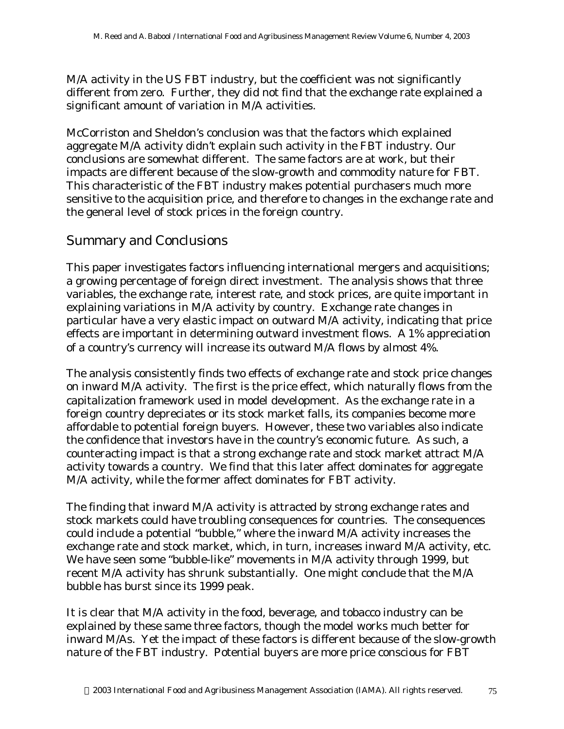M/A activity in the US FBT industry, but the coefficient was not significantly different from zero. Further, they did not find that the exchange rate explained a significant amount of variation in M/A activities.

McCorriston and Sheldon's conclusion was that the factors which explained aggregate M/A activity didn't explain such activity in the FBT industry. Our conclusions are somewhat different. The same factors are at work, but their impacts are different because of the slow-growth and commodity nature for FBT. This characteristic of the FBT industry makes potential purchasers much more sensitive to the acquisition price, and therefore to changes in the exchange rate and the general level of stock prices in the foreign country.

### Summary and Conclusions

This paper investigates factors influencing international mergers and acquisitions; a growing percentage of foreign direct investment. The analysis shows that three variables, the exchange rate, interest rate, and stock prices, are quite important in explaining variations in M/A activity by country. Exchange rate changes in particular have a very elastic impact on outward M/A activity, indicating that price effects are important in determining outward investment flows. A 1% appreciation of a country's currency will increase its outward M/A flows by almost 4%.

The analysis consistently finds two effects of exchange rate and stock price changes on inward M/A activity. The first is the price effect, which naturally flows from the capitalization framework used in model development. As the exchange rate in a foreign country depreciates or its stock market falls, its companies become more affordable to potential foreign buyers. However, these two variables also indicate the confidence that investors have in the country's economic future. As such, a counteracting impact is that a strong exchange rate and stock market attract M/A activity towards a country. We find that this later affect dominates for aggregate M/A activity, while the former affect dominates for FBT activity.

The finding that inward M/A activity is attracted by strong exchange rates and stock markets could have troubling consequences for countries. The consequences could include a potential "bubble," where the inward M/A activity increases the exchange rate and stock market, which, in turn, increases inward M/A activity, etc. We have seen some "bubble-like" movements in M/A activity through 1999, but recent M/A activity has shrunk substantially. One might conclude that the M/A bubble has burst since its 1999 peak.

It is clear that M/A activity in the food, beverage, and tobacco industry can be explained by these same three factors, though the model works much better for inward M/As. Yet the impact of these factors is different because of the slow-growth nature of the FBT industry. Potential buyers are more price conscious for FBT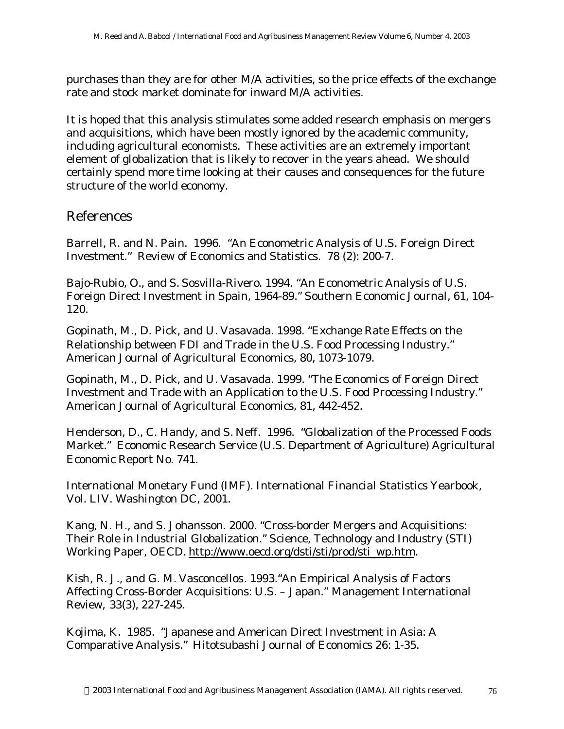purchases than they are for other M/A activities, so the price effects of the exchange rate and stock market dominate for inward M/A activities.

It is hoped that this analysis stimulates some added research emphasis on mergers and acquisitions, which have been mostly ignored by the academic community, including agricultural economists. These activities are an extremely important element of globalization that is likely to recover in the years ahead. We should certainly spend more time looking at their causes and consequences for the future structure of the world economy.

#### References

Barrell, R. and N. Pain. 1996. "An Econometric Analysis of U.S. Foreign Direct Investment." *Review of Economics and Statistics*. 78 (2): 200-7.

Bajo-Rubio, O., and S. Sosvilla-Rivero. 1994. "An Econometric Analysis of U.S. Foreign Direct Investment in Spain, 1964-89." *Southern Economic Journal,* 61, 104- 120.

Gopinath, M., D. Pick, and U. Vasavada. 1998. "Exchange Rate Effects on the Relationship between FDI and Trade in the U.S. Food Processing Industry." *American Journal of Agricultural Economics*, 80, 1073-1079.

Gopinath, M., D. Pick, and U. Vasavada. 1999. "The Economics of Foreign Direct Investment and Trade with an Application to the U.S. Food Processing Industry." *American Journal of Agricultural Economics*, 81, 442-452.

Henderson, D., C. Handy, and S. Neff. 1996. "Globalization of the Processed Foods Market." Economic Research Service (U.S. Department of Agriculture) Agricultural Economic Report No. 741.

International Monetary Fund (IMF). *International Financial Statistics Yearbook*, Vol. LIV. Washington DC, 2001.

Kang, N. H., and S. Johansson. 2000. "Cross-border Mergers and Acquisitions: Their Role in Industrial Globalization." Science, Technology and Industry (STI) Working Paper, OECD. http://www.oecd.org/dsti/sti/prod/sti\_wp.htm.

Kish, R. J., and G. M. Vasconcellos. 1993."An Empirical Analysis of Factors Affecting Cross-Border Acquisitions: U.S. – Japan." *Management International Review,* 33(3), 227-245.

Kojima, K. 1985. "Japanese and American Direct Investment in Asia: A Comparative Analysis." Hitotsubashi Journal of Economics 26: 1-35.